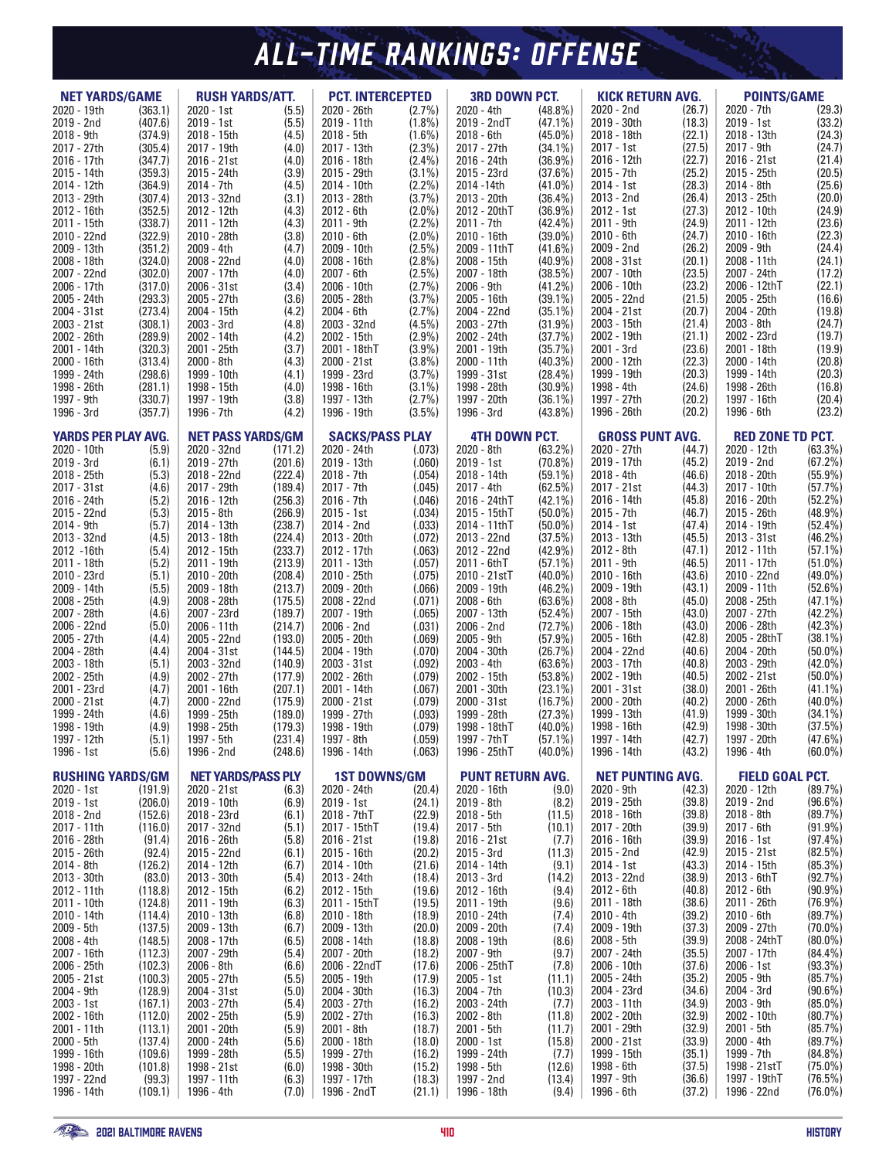# *RAVENS HISTORY ALL-TIME RANKINGS: OFFENSE*

| <b>RUSH YARDS/ATT.</b><br><b>NET YARDS/GAME</b> |                    | <b>PCT. INTERCEPTED</b>                 |                    | <b>3RD DOWN PCT.</b>                  |                        | <b>KICK RETURN AVG.</b>                          |                          | <b>POINTS/GAME</b>                              |                  |                                                      |                          |
|-------------------------------------------------|--------------------|-----------------------------------------|--------------------|---------------------------------------|------------------------|--------------------------------------------------|--------------------------|-------------------------------------------------|------------------|------------------------------------------------------|--------------------------|
| 2020 - 19th                                     | (363.1)            | 2020 - 1st                              | (5.5)              | 2020 - 26th                           | $(2.7\%)$              | 2020 - 4th                                       | $(48.8\%)$               | 2020 - 2nd                                      | (26.7)           | 2020 - 7th                                           | (29.3)                   |
| 2019 - 2nd<br>2018 - 9th                        | (407.6)<br>(374.9) | 2019 - 1st<br>2018 - 15th               | (5.5)<br>(4.5)     | 2019 - 11th<br>$2018 - 5th$           | $(1.8\%)$<br>$(1.6\%)$ | 2019 - 2ndT<br>2018 - 6th                        | $(47.1\%)$<br>$(45.0\%)$ | 2019 - 30th<br>2018 - 18th                      | (18.3)<br>(22.1) | 2019 - 1st<br>2018 - 13th                            | (33.2)<br>(24.3)         |
| 2017 - 27th                                     | (305.4)            | 2017 - 19th                             | (4.0)              | 2017 - 13th                           | $(2.3\%)$              | 2017 - 27th                                      | $(34.1\%)$               | 2017 - 1st                                      | (27.5)           | 2017 - 9th                                           | (24.7)                   |
| 2016 - 17th                                     | (347.7)            | 2016 - 21st                             | (4.0)              | 2016 - 18th                           | $(2.4\%)$              | 2016 - 24th                                      | $(36.9\%)$               | 2016 - 12th                                     | (22.7)           | 2016 - 21st                                          | (21.4)                   |
| 2015 - 14th                                     | (359.3)            | 2015 - 24th                             | (3.9)              | 2015 - 29th                           | $(3.1\%)$              | 2015 - 23rd                                      | (37.6%)                  | 2015 - 7th                                      | (25.2)           | 2015 - 25th                                          | (20.5)                   |
| 2014 - 12th                                     | (364.9)            | 2014 - 7th                              | (4.5)              | 2014 - 10th                           | $(2.2\%)$              | 2014 - 14th                                      | $(41.0\%)$               | 2014 - 1st                                      | (28.3)           | 2014 - 8th                                           | (25.6)                   |
| 2013 - 29th<br>2012 - 16th                      | (307.4)<br>(352.5) | 2013 - 32nd<br>2012 - 12th              | (3.1)<br>(4.3)     | 2013 - 28th<br>2012 - 6th             | (3.7%)<br>$(2.0\%)$    | 2013 - 20th<br>2012 - 20thT                      | $(36.4\%)$<br>$(36.9\%)$ | 2013 - 2nd<br>2012 - 1st                        | (26.4)<br>(27.3) | 2013 - 25th<br>2012 - 10th                           | (20.0)<br>(24.9)         |
| 2011 - 15th                                     | (338.7)            | 2011 - 12th                             | (4.3)              | 2011 - 9th                            | $(2.2\%)$              | 2011 - 7th                                       | $(42.4\%)$               | 2011 - 9th                                      | (24.9)           | 2011 - 12th                                          | (23.6)                   |
| 2010 - 22nd                                     | (322.9)            | 2010 - 28th                             | (3.8)              | 2010 - 6th                            | $(2.0\%)$              | 2010 - 16th                                      | $(39.0\%)$               | 2010 - 6th                                      | (24.7)           | 2010 - 16th                                          | (22.3)                   |
| 2009 - 13th                                     | (351.2)            | 2009 - 4th                              | (4.7)              | 2009 - 10th                           | $(2.5\%)$              | 2009 - 11thT                                     | $(41.6\%)$               | 2009 - 2nd                                      | (26.2)           | 2009 - 9th                                           | (24.4)                   |
| 2008 - 18th<br>2007 - 22nd                      | (324.0)<br>(302.0) | 2008 - 22nd<br>2007 - 17th              | (4.0)<br>(4.0)     | 2008 - 16th<br>2007 - 6th             | $(2.8\%)$<br>$(2.5\%)$ | 2008 - 15th<br>2007 - 18th                       | $(40.9\%)$<br>(38.5%)    | 2008 - 31st<br>2007 - 10th                      | (20.1)<br>(23.5) | 2008 - 11th<br>2007 - 24th                           | (24.1)<br>(17.2)         |
| 2006 - 17th                                     | (317.0)            | 2006 - 31st                             | (3.4)              | 2006 - 10th                           | (2.7%)                 | 2006 - 9th                                       | $(41.2\%)$               | 2006 - 10th                                     | (23.2)           | 2006 - 12thT                                         | (22.1)                   |
| 2005 - 24th                                     | (293.3)            | 2005 - 27th                             | (3.6)              | 2005 - 28th                           | $(3.7\%)$              | 2005 - 16th                                      | $(39.1\%)$               | 2005 - 22nd                                     | (21.5)           | 2005 - 25th                                          | (16.6)                   |
| 2004 - 31st                                     | (273.4)            | 2004 - 15th                             | (4.2)              | 2004 - 6th                            | (2.7%)                 | 2004 - 22nd                                      | $(35.1\%)$               | 2004 - 21st                                     | (20.7)           | 2004 - 20th                                          | (19.8)                   |
| 2003 - 21st<br>2002 - 26th                      | (308.1)<br>(289.9) | 2003 - 3rd<br>2002 - 14th               | (4.8)<br>(4.2)     | 2003 - 32nd<br>2002 - 15th            | $(4.5\%)$<br>$(2.9\%)$ | 2003 - 27th<br>2002 - 24th                       | $(31.9\%)$<br>(37.7%)    | 2003 - 15th<br>2002 - 19th                      | (21.4)<br>(21.1) | 2003 - 8th<br>2002 - 23rd                            | (24.7)<br>(19.7)         |
| 2001 - 14th                                     | (320.3)            | 2001 - 25th                             | (3.7)              | 2001 - 18thT                          | (3.9%)                 | 2001 - 19th                                      | (35.7%)                  | 2001 - 3rd                                      | (23.6)           | 2001 - 18th                                          | (19.9)                   |
| 2000 - 16th                                     | (313.4)            | 2000 - 8th                              | (4.3)              | 2000 - 21st                           | $(3.8\%)$              | 2000 - 11th                                      | $(40.3\%)$               | 2000 - 12th                                     | (22.3)           | 2000 - 14th                                          | (20.8)                   |
| 1999 - 24th                                     | (298.6)            | 1999 - 10th                             | (4.1)              | 1999 - 23rd                           | (3.7%)                 | 1999 - 31st                                      | $(28.4\%)$               | 1999 - 19th                                     | (20.3)           | 1999 - 14th                                          | (20.3)                   |
| 1998 - 26th<br>1997 - 9th                       | (281.1)<br>(330.7) | 1998 - 15th<br>1997 - 19th              | (4.0)<br>(3.8)     | 1998 - 16th<br>1997 - 13th            | $(3.1\%)$<br>(2.7%)    | 1998 - 28th<br>1997 - 20th                       | $(30.9\%)$<br>$(36.1\%)$ | 1998 - 4th<br>1997 - 27th                       | (24.6)<br>(20.2) | 1998 - 26th<br>1997 - 16th                           | (16.8)<br>(20.4)         |
| 1996 - 3rd                                      | (357.7)            | 1996 - 7th                              | (4.2)              | 1996 - 19th                           | $(3.5\%)$              | 1996 - 3rd                                       | $(43.8\%)$               | 1996 - 26th                                     | (20.2)           | 1996 - 6th                                           | (23.2)                   |
|                                                 |                    |                                         |                    |                                       |                        |                                                  |                          |                                                 |                  |                                                      |                          |
| <b>YARDS PER PLAY AVG.</b><br>2020 - 10th       | (5.9)              | <b>NET PASS YARDS/GM</b><br>2020 - 32nd |                    | <b>SACKS/PASS PLAY</b><br>2020 - 24th |                        | <b>4TH DOWN PCT.</b><br>2020 - 8th<br>$(63.2\%)$ |                          | <b>GROSS PUNT AVG.</b><br>2020 - 27th<br>(44.7) |                  | <b>RED ZONE TD PCT.</b><br>2020 - 12th<br>$(63.3\%)$ |                          |
| 2019 - 3rd                                      | (6.1)              | 2019 - 27th                             | (171.2)<br>(201.6) | 2019 - 13th                           | (.073)<br>(.060)       | 2019 - 1st                                       | $(70.8\%)$               | 2019 - 17th                                     | (45.2)           | 2019 - 2nd                                           | (67.2%)                  |
| 2018 - 25th                                     | (5.3)              | 2018 - 22nd                             | (222.4)            | 2018 - 7th                            | (.054)                 | 2018 - 14th                                      | $(59.1\%)$               | 2018 - 4th                                      | (46.6)           | 2018 - 20th                                          | (55.9%                   |
| 2017 - 31st                                     | (4.6)              | 2017 - 29th                             | (189.4)            | 2017 - 7th                            | (.045)                 | 2017 - 4th                                       | (62.5%)                  | 2017 - 21st                                     | (44.3)           | 2017 - 10th                                          | (57.7%)                  |
| 2016 - 24th<br>2015 - 22nd                      | (5.2)<br>(5.3)     | 2016 - 12th<br>2015 - 8th               | (256.3)<br>(266.9) | 2016 - 7th<br>$2015 - 1st$            | (.046)<br>(.034)       | 2016 - 24thT<br>2015 - 15th T                    | $(42.1\%)$               | 2016 - 14th<br>2015 - 7th                       | (45.8)<br>(46.7) | 2016 - 20th<br>2015 - 26th                           | $(52.2\%)$<br>$(48.9\%)$ |
| 2014 - 9th                                      | (5.7)              | 2014 - 13th                             | (238.7)            | 2014 - 2nd                            | (.033)                 | 2014 - 11thT                                     | $(50.0\%)$<br>$(50.0\%)$ | 2014 - 1st                                      | (47.4)           | 2014 - 19th                                          | $(52.4\%)$               |
| 2013 - 32nd                                     | (4.5)              | 2013 - 18th                             | (224.4)            | 2013 - 20th                           | (.072)                 | 2013 - 22nd                                      | (37.5%)                  | 2013 - 13th                                     | (45.5)           | 2013 - 31st                                          | $(46.2\%)$               |
| 2012 - 16th                                     | (5.4)              | 2012 - 15th                             | (233.7)            | 2012 - 17th                           | (.063)                 | 2012 - 22nd                                      | $(42.9\%)$               | 2012 - 8th                                      | (47.1)           | 2012 - 11th                                          | $(57.1\%)$               |
| 2011 - 18th<br>2010 - 23rd                      | (5.2)<br>(5.1)     | 2011 - 19th<br>2010 - 20th              | (213.9)<br>(208.4) | 2011 - 13th<br>2010 - 25th            | (.057)<br>(.075)       | 2011 - 6thT<br>2010 - 21stT                      | $(57.1\%)$<br>$(40.0\%)$ | 2011 - 9th<br>2010 - 16th                       | (46.5)<br>(43.6) | 2011 - 17th<br>2010 - 22nd                           | $(51.0\%)$<br>$(49.0\%)$ |
| 2009 - 14th                                     | (5.5)              | 2009 - 18th                             | (213.7)            | 2009 - 20th                           | (.066)                 | 2009 - 19th                                      | $(46.2\%)$               | 2009 - 19th                                     | (43.1)           | 2009 - 11th                                          | $(52.6\%)$               |
| 2008 - 25th                                     | (4.9)              | 2008 - 28th                             | (175.5)            | 2008 - 22nd                           | (.071)                 | 2008 - 6th                                       | $(63.6\%)$               | 2008 - 8th                                      | (45.0)           | 2008 - 25th                                          | $(47.1\%)$               |
| 2007 - 28th                                     | (4.6)              | 2007 - 23rd                             | (189.7)            | 2007 - 19th                           | (.065)                 | 2007 - 13th                                      | $(52.4\%)$               | 2007 - 15th                                     | (43.0)           | 2007 - 27th                                          | $(42.2\%)$               |
| 2006 - 22nd<br>2005 - 27th                      | (5.0)<br>(4.4)     | 2006 - 11th<br>2005 - 22nd              | (214.7)<br>(193.0) | 2006 - 2nd<br>2005 - 20th             | (.031)<br>(.069)       | 2006 - 2nd<br>2005 - 9th                         | (72.7%)<br>(57.9%        | 2006 - 18th<br>2005 - 16th                      | (43.0)<br>(42.8) | 2006 - 28th<br>2005 - 28thT                          | $(42.3\%)$<br>$(38.1\%)$ |
| 2004 - 28th                                     | (4.4)              | 2004 - 31st                             | (144.5)            | 2004 - 19th                           | (.070)                 | 2004 - 30th                                      | (26.7%)                  | 2004 - 22nd                                     | (40.6)           | 2004 - 20th                                          | $(50.0\%)$               |
| 2003 - 18th                                     | (5.1)              | 2003 - 32nd                             | (140.9)            | 2003 - 31st                           | (.092)                 | 2003 - 4th                                       | $(63.6\%)$               | 2003 - 17th                                     | (40.8)           | 2003 - 29th                                          | $(42.0\%)$               |
| 2002 - 25th                                     | (4.9)              | 2002 - 27th                             | (177.9)            | 2002 - 26th                           | (.079)                 | 2002 - 15th                                      | $(53.8\%)$               | 2002 - 19th                                     | (40.5)           | 2002 - 21st                                          | $(50.0\%)$               |
| 2001 - 23rd<br>2000 - 21st                      | (4.7)<br>(4.7)     | 2001 - 16th<br>2000 - 22nd              | (207.1)<br>(175.9) | 2001 - 14th<br>2000 - 21st            | (.067)<br>(.079)       | 2001 - 30th<br>2000 - 31st                       | $(23.1\%)$<br>(16.7%)    | 2001 - 31st<br>2000 - 20th                      | (38.0)<br>(40.2) | 2001 - 26th<br>2000 - 26th                           | $(41.1\%)$<br>$(40.0\%)$ |
| 1999 - 24th                                     | (4.6)              | 1999 - 25th                             | (189.0)            | 1999 - 27th                           | (.093)                 | 1999 - 28th                                      | (27.3%)                  | 1999 - 13th                                     | (41.9)           | 1999 - 30th                                          | $(34.1\%)$               |
| 1998 - 19th                                     | (4.9)              | 1998 - 25th                             | (179.3)            | 1998 - 19th                           | (.079)                 | 1998 - 18thT                                     | $(40.0\%)$               | 1998 - 16th                                     | (42.9)           | 1998 - 30th                                          | (37.5%)                  |
| 1997 - 12th                                     | (5.1)              | 1997 - 5th                              | (231.4)            | 1997 - 8th                            | (.059)                 | 1997 - 7thT                                      | $(57.1\%)$               | 1997 - 14th                                     | (42.7)           | 1997 - 20th                                          | $(47.6\%)$               |
| 1996 - 1st                                      | (5.6)              | 1996 - 2nd                              | (248.6)            | 1996 - 14th                           | (.063)                 | 1996 - 25thT                                     | $(40.0\%)$               | 1996 - 14th                                     | (43.2)           | 1996 - 4th                                           | $(60.0\%)$               |
| <b>RUSHING YARDS/GM</b>                         |                    | <b>NET YARDS/PASS PLY</b>               |                    | <b>1ST DOWNS/GM</b>                   |                        | <b>PUNT RETURN AVG.</b>                          |                          | <b>NET PUNTING AVG.</b>                         |                  | <b>FIELD GOAL PCT.</b>                               |                          |
| 2020 - 1st                                      | (191.9)            | 2020 - 21st                             | (6.3)              | 2020 - 24th                           | (20.4)                 | 2020 - 16th                                      | (9.0)                    | 2020 - 9th                                      | (42.3)           | 2020 - 12th                                          | (89.7%)                  |
| 2019 - 1st<br>2018 - 2nd                        | (206.0)<br>(152.6) | 2019 - 10th<br>2018 - 23rd              | (6.9)<br>(6.1)     | 2019 - 1st<br>2018 - 7thT             | (24.1)<br>(22.9)       | 2019 - 8th<br>2018 - 5th                         | (8.2)<br>(11.5)          | 2019 - 25th<br>2018 - 16th                      | (39.8)<br>(39.8) | 2019 - 2nd<br>2018 - 8th                             | $(96.6\%)$<br>$(89.7\%)$ |
| 2017 - 11th                                     | (116.0)            | 2017 - 32nd                             | (5.1)              | 2017 - 15thT                          | (19.4)                 | 2017 - 5th                                       | (10.1)                   | 2017 - 20th                                     | (39.9)           | 2017 - 6th                                           | $(91.9\%)$               |
| 2016 - 28th                                     | (91.4)             | 2016 - 26th                             | (5.8)              | 2016 - 21st                           | (19.8)                 | 2016 - 21st                                      | (7.7)                    | 2016 - 16th                                     | (39.9)           | 2016 - 1st                                           | $(97.4\%)$               |
| 2015 - 26th                                     | (92.4)             | 2015 - 22nd                             | (6.1)              | 2015 - 16th                           | (20.2)                 | 2015 - 3rd                                       | (11.3)                   | 2015 - 2nd                                      | (42.9)           | 2015 - 21st                                          | $(82.5\%)$               |
| 2014 - 8th<br>2013 - 30th                       | (126.2)<br>(83.0)  | 2014 - 12th<br>2013 - 30th              | (6.7)<br>(5.4)     | 2014 - 10th<br>2013 - 24th            | (21.6)<br>(18.4)       | 2014 - 14th<br>2013 - 3rd                        | (9.1)<br>(14.2)          | 2014 - 1st<br>2013 - 22nd                       | (43.3)<br>(38.9) | 2014 - 15th<br>2013 - 6thT                           | $(85.3\%)$<br>(92.7%)    |
| 2012 - 11th                                     | (118.8)            | 2012 - 15th                             | (6.2)              | 2012 - 15th                           | (19.6)                 | 2012 - 16th                                      | (9.4)                    | 2012 - 6th                                      | (40.8)           | 2012 - 6th                                           | $(90.9\%)$               |
| 2011 - 10th                                     | (124.8)            | 2011 - 19th                             | (6.3)              | 2011 - 15thT                          | (19.5)                 | 2011 - 19th                                      | (9.6)                    | 2011 - 18th                                     | (38.6)           | 2011 - 26th                                          | $(76.9\%)$               |
| 2010 - 14th                                     | (114.4)            | 2010 - 13th                             | (6.8)              | 2010 - 18th                           | (18.9)                 | 2010 - 24th                                      | (7.4)                    | 2010 - 4th                                      | (39.2)           | 2010 - 6th                                           | $(89.7\%)$               |
| 2009 - 5th<br>2008 - 4th                        | (137.5)<br>(148.5) | 2009 - 13th<br>2008 - 17th              | (6.7)<br>(6.5)     | 2009 - 13th<br>2008 - 14th            | (20.0)<br>(18.8)       | 2009 - 20th<br>2008 - 19th                       | (7.4)<br>(8.6)           | 2009 - 19th<br>2008 - 5th                       | (37.3)<br>(39.9) | 2009 - 27th<br>2008 - 24thT                          | $(70.0\%)$<br>$(80.0\%)$ |
| 2007 - 16th                                     | (112.3)            | 2007 - 29th                             | (5.4)              | 2007 - 20th                           | (18.2)                 | 2007 - 9th                                       | (9.7)                    | 2007 - 24th                                     | (35.5)           | 2007 - 17th                                          | $(84.4\%)$               |
| 2006 - 25th                                     | (102.3)            | 2006 - 8th                              | (6.6)              | 2006 - 22ndT                          | (17.6)                 | 2006 - 25thT                                     | (7.8)                    | 2006 - 10th                                     | (37.6)           | 2006 - 1st                                           | $(93.3\%)$               |
| 2005 - 21st                                     | (100.3)            | 2005 - 27th                             | (5.5)              | 2005 - 19th                           | (17.9)                 | $2005 - 1st$                                     | (11.1)                   | 2005 - 24th                                     | (35.2)           | 2005 - 9th                                           | (85.7%)                  |
| 2004 - 9th<br>2003 - 1st                        | (128.9)<br>(167.1) | 2004 - 31st<br>2003 - 27th              | (5.0)<br>(5.4)     | 2004 - 30th<br>2003 - 27th            | (16.3)<br>(16.2)       | 2004 - 7th<br>2003 - 24th                        | (10.3)<br>(7.7)          | 2004 - 23rd<br>2003 - 11th                      | (34.6)<br>(34.9) | 2004 - 3rd<br>2003 - 9th                             | $(90.6\%)$<br>$(85.0\%)$ |
| 2002 - 16th                                     | (112.0)            | 2002 - 25th                             | (5.9)              | 2002 - 27th                           | (16.3)                 | 2002 - 8th                                       | (11.8)                   | 2002 - 20th                                     | (32.9)           | 2002 - 10th                                          | $(80.7\%)$               |
| 2001 - 11th                                     | (113.1)            | 2001 - 20th                             | (5.9)              | 2001 - 8th                            | (18.7)                 | 2001 - 5th                                       | (11.7)                   | 2001 - 29th                                     | (32.9)           | 2001 - 5th                                           | (85.7%)                  |
| 2000 - 5th                                      | (137.4)            | 2000 - 24th                             | (5.6)              | 2000 - 18th                           | (18.0)                 | 2000 - 1st                                       | (15.8)                   | 2000 - 21st                                     | (33.9)           | 2000 - 4th                                           | $(89.7\%)$               |
| 1999 - 16th<br>1998 - 20th                      | (109.6)<br>(101.8) | 1999 - 28th<br>1998 - 21st              | (5.5)<br>(6.0)     | 1999 - 27th<br>1998 - 30th            | (16.2)                 | 1999 - 24th<br>1998 - 5th                        | (7.7)<br>(12.6)          | 1999 - 15th<br>1998 - 6th                       | (35.1)<br>(37.5) | 1999 - 7th<br>1998 - 21stT                           | $(84.8\%)$<br>$(75.0\%)$ |
| 1997 - 22nd                                     | (99.3)             | 1997 - 11th                             | (6.3)              | 1997 - 17th                           | (15.2)<br>(18.3)       | 1997 - 2nd                                       | (13.4)                   | 1997 - 9th                                      | (36.6)           | 1997 - 19thT                                         | $(76.5\%)$               |
| 1996 - 14th                                     | (109.1)            | 1996 - 4th                              | (7.0)              | 1996 - 2ndT                           | (21.1)                 | 1996 - 18th                                      | (9.4)                    | 1996 - 6th                                      | (37.2)           | 1996 - 22nd                                          | $(76.0\%)$               |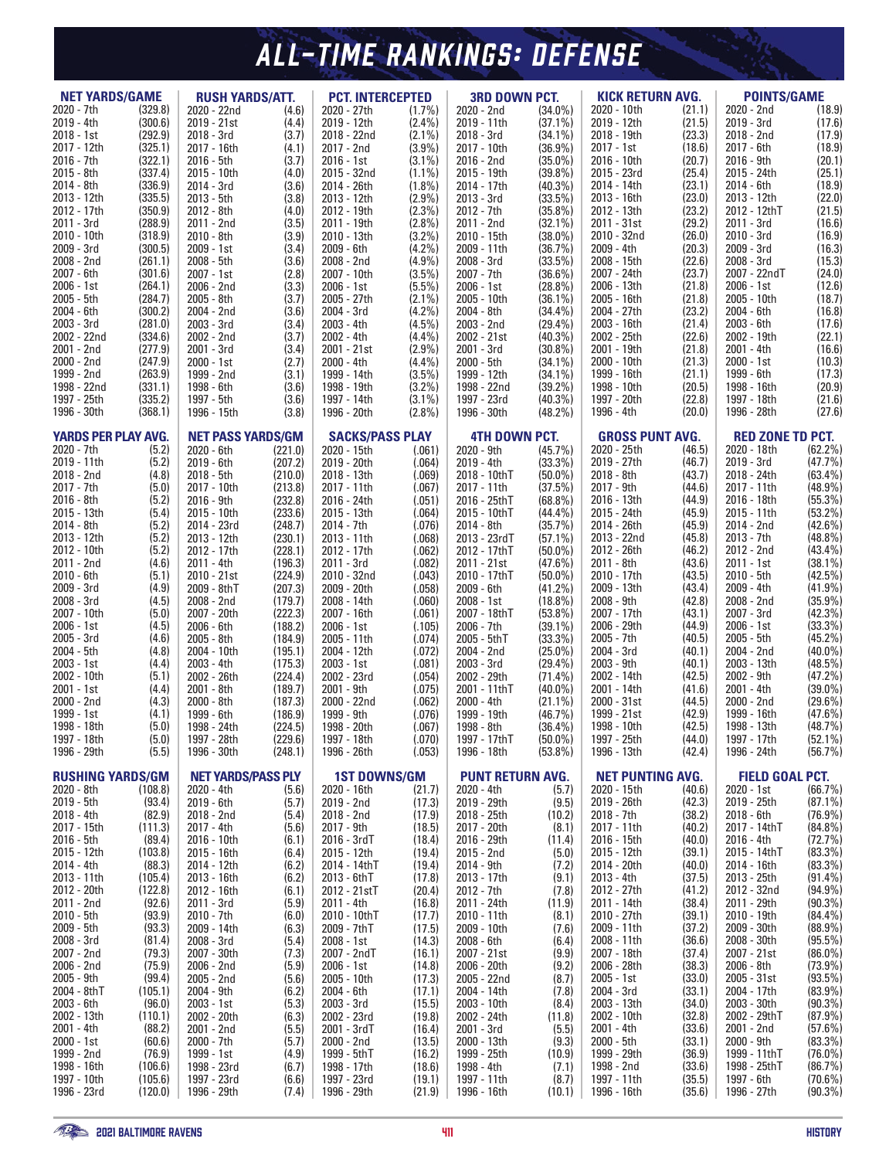# *RAVENS HISTORY ALL-TIME RANKINGS: DEFENSE*

| <b>NET YARDS/GAME</b>       |                    | <b>RUSH YARDS/ATT.</b>                 |                    | <b>PCT. INTERCEPTED</b>               |                        | <b>3RD DOWN PCT.</b>               |                          | <b>KICK RETURN AVG.</b>               |                  | <b>POINTS/GAME</b>         |                          |
|-----------------------------|--------------------|----------------------------------------|--------------------|---------------------------------------|------------------------|------------------------------------|--------------------------|---------------------------------------|------------------|----------------------------|--------------------------|
| 2020 - 7th                  | (329.8)            | 2020 - 22nd                            | (4.6)              | 2020 - 27th                           | $(1.7\%)$              | 2020 - 2nd                         | $(34.0\%)$               | 2020 - 10th                           | (21.1)           | 2020 - 2nd                 | (18.9)                   |
| 2019 - 4th                  | (300.6)            | 2019 - 21st                            | (4.4)              | 2019 - 12th                           | $(2.4\%)$              | 2019 - 11th                        | $(37.1\%)$               | 2019 - 12th                           | (21.5)           | 2019 - 3rd                 | (17.6)                   |
| 2018 - 1st                  | (292.9)            | 2018 - 3rd                             | (3.7)              | 2018 - 22nd                           | $(2.1\%)$              | 2018 - 3rd                         | $(34.1\%)$               | 2018 - 19th                           | (23.3)           | 2018 - 2nd                 | (17.9)                   |
| 2017 - 12th<br>2016 - 7th   | (325.1)<br>(322.1) | 2017 - 16th<br>2016 - 5th              | (4.1)<br>(3.7)     | 2017 - 2nd<br>2016 - 1st              | (3.9%)<br>$(3.1\%)$    | 2017 - 10th<br>2016 - 2nd          | $(36.9\%)$<br>$(35.0\%)$ | 2017 - 1st<br>2016 - 10th             | (18.6)<br>(20.7) | 2017 - 6th<br>2016 - 9th   | (18.9)<br>(20.1)         |
| $2015 - 8th$                | (337.4)            | 2015 - 10th                            | (4.0)              | 2015 - 32nd                           | $(1.1\%)$              | 2015 - 19th                        | (39.8%)                  | 2015 - 23rd                           | (25.4)           | 2015 - 24th                | (25.1)                   |
| 2014 - 8th                  | (336.9)            | 2014 - 3rd                             | (3.6)              | 2014 - 26th                           | $(1.8\%)$              | 2014 - 17th                        | $(40.3\%)$               | 2014 - 14th                           | (23.1)           | 2014 - 6th                 | (18.9)                   |
| 2013 - 12th                 | (335.5)            | 2013 - 5th                             | (3.8)              | 2013 - 12th                           | (2.9%)                 | 2013 - 3rd                         | $(33.5\%)$               | 2013 - 16th                           | (23.0)           | 2013 - 12th                | (22.0)                   |
| 2012 - 17th                 | (350.9)            | 2012 - 8th                             | (4.0)              | 2012 - 19th                           | $(2.3\%)$              | 2012 - 7th                         | $(35.8\%)$               | 2012 - 13th                           | (23.2)           | 2012 - 12thT               | (21.5)                   |
| 2011 - 3rd<br>2010 - 10th   | (288.9)<br>(318.9) | 2011 - 2nd<br>2010 - 8th               | (3.5)<br>(3.9)     | 2011 - 19th<br>2010 - 13th            | $(2.8\%)$<br>$(3.2\%)$ | 2011 - 2nd<br>2010 - 15th          | $(32.1\%)$<br>$(38.0\%)$ | 2011 - 31st<br>2010 - 32nd            | (29.2)<br>(26.0) | 2011 - 3rd<br>2010 - 3rd   | (16.6)<br>(16.9)         |
| 2009 - 3rd                  | (300.5)            | 2009 - 1st                             | (3.4)              | 2009 - 6th                            | (4.2%)                 | 2009 - 11th                        | (36.7%)                  | 2009 - 4th                            | (20.3)           | 2009 - 3rd                 | (16.3)                   |
| 2008 - 2nd                  | (261.1)            | 2008 - 5th                             | (3.6)              | 2008 - 2nd                            | (4.9%                  | 2008 - 3rd                         | $(33.5\%)$               | 2008 - 15th                           | (22.6)           | 2008 - 3rd                 | (15.3)                   |
| 2007 - 6th                  | (301.6)            | 2007 - 1st                             | (2.8)              | 2007 - 10th                           | $(3.5\%)$              | 2007 - 7th                         | $(36.6\%)$               | 2007 - 24th                           | (23.7)           | 2007 - 22ndT               | (24.0)                   |
| 2006 - 1st                  | (264.1)            | 2006 - 2nd                             | (3.3)              | 2006 - 1st                            | $(5.5\%)$              | 2006 - 1st                         | $(28.8\%)$               | 2006 - 13th                           | (21.8)           | 2006 - 1st                 | (12.6)                   |
| 2005 - 5th<br>2004 - 6th    | (284.7)<br>(300.2) | 2005 - 8th<br>2004 - 2nd               | (3.7)<br>(3.6)     | 2005 - 27th<br>2004 - 3rd             | $(2.1\%)$<br>(4.2%)    | 2005 - 10th<br>2004 - 8th          | $(36.1\%)$<br>$(34.4\%)$ | 2005 - 16th<br>2004 - 27th            | (21.8)<br>(23.2) | 2005 - 10th<br>2004 - 6th  | (18.7)<br>(16.8)         |
| 2003 - 3rd                  | (281.0)            | 2003 - 3rd                             | (3.4)              | 2003 - 4th                            | $(4.5\%)$              | 2003 - 2nd                         | $(29.4\%)$               | 2003 - 16th                           | (21.4)           | 2003 - 6th                 | (17.6)                   |
| 2002 - 22nd                 | (334.6)            | 2002 - 2nd                             | (3.7)              | 2002 - 4th                            | (4.4%)                 | 2002 - 21st                        | $(40.3\%)$               | 2002 - 25th                           | (22.6)           | 2002 - 19th                | (22.1)                   |
| 2001 - 2nd                  | (277.9)            | 2001 - 3rd                             | (3.4)              | 2001 - 21st                           | $(2.9\%)$              | 2001 - 3rd                         | $(30.8\%)$               | 2001 - 19th                           | (21.8)           | $2001 - 4th$               | (16.6)                   |
| 2000 - 2nd                  | (247.9)            | 2000 - 1st                             | (2.7)              | 2000 - 4th                            | $(4.4\%)$              | 2000 - 5th                         | $(34.1\%)$               | 2000 - 10th                           | (21.3)           | 2000 - 1st                 | (10.3)                   |
| 1999 - 2nd<br>1998 - 22nd   | (263.9)<br>(331.1) | 1999 - 2nd<br>1998 - 6th               | (3.1)<br>(3.6)     | 1999 - 14th<br>1998 - 19th            | $(3.5\%)$<br>(3.2%)    | 1999 - 12th<br>1998 - 22nd         | $(34.1\%)$<br>$(39.2\%)$ | 1999 - 16th<br>1998 - 10th            | (21.1)<br>(20.5) | 1999 - 6th<br>1998 - 16th  | (17.3)<br>(20.9)         |
| 1997 - 25th                 | (335.2)            | 1997 - 5th                             | (3.6)              | 1997 - 14th                           | $(3.1\%)$              | 1997 - 23rd                        | $(40.3\%)$               | 1997 - 20th                           | (22.8)           | 1997 - 18th                | (21.6)                   |
| 1996 - 30th                 | (368.1)            | 1996 - 15th                            | (3.8)              | 1996 - 20th                           | $(2.8\%)$              | 1996 - 30th                        | $(48.2\%)$               | 1996 - 4th                            | (20.0)           | 1996 - 28th                | (27.6)                   |
| <b>YARDS PER PLAY AVG.</b>  |                    |                                        |                    |                                       |                        |                                    |                          |                                       |                  | <b>RED ZONE TD PCT.</b>    |                          |
| 2020 - 7th                  | (5.2)              | <b>NET PASS YARDS/GM</b><br>2020 - 6th | (221.0)            | <b>SACKS/PASS PLAY</b><br>2020 - 15th | (.061)                 | <b>4TH DOWN PCT.</b><br>2020 - 9th | (45.7%)                  | <b>GROSS PUNT AVG.</b><br>2020 - 25th | (46.5)           | 2020 - 18th                | $(62.2\%)$               |
| 2019 - 11th                 | (5.2)              | 2019 - 6th                             | (207.2)            | 2019 - 20th                           | (.064)                 | 2019 - 4th                         | $(33.3\%)$               | 2019 - 27th                           | (46.7)           | 2019 - 3rd                 | (47.7%                   |
| 2018 - 2nd                  | (4.8)              | 2018 - 5th                             | (210.0)            | 2018 - 13th                           | (.069)                 | 2018 - 10thT                       | $(50.0\%)$               | 2018 - 8th                            | (43.7)           | 2018 - 24th                | $(63.4\%)$               |
| 2017 - 7th                  | (5.0)              | 2017 - 10th                            | (213.8)            | 2017 - 11th                           | (.067)                 | 2017 - 11th                        | (37.5%)                  | 2017 - 9th                            | (44.6)           | 2017 - 11th                | $(48.9\%)$               |
| $2016 - 8th$                | (5.2)              | 2016 - 9th                             | (232.8)            | 2016 - 24th                           | (.051)                 | 2016 - 25thT                       | $(68.8\%)$               | 2016 - 13th                           | (44.9)           | 2016 - 18th                | (55.3%)                  |
| 2015 - 13th<br>2014 - 8th   | (5.4)<br>(5.2)     | 2015 - 10th                            | (233.6)            | 2015 - 13th                           | (.064)                 | 2015 - 10thT<br>2014 - 8th         | $(44.4\%)$               | 2015 - 24th<br>2014 - 26th            | (45.9)<br>(45.9) | 2015 - 11th<br>2014 - 2nd  | $(53.2\%)$<br>$(42.6\%)$ |
| 2013 - 12th                 | (5.2)              | 2014 - 23rd<br>2013 - 12th             | (248.7)<br>(230.1) | 2014 - 7th<br>2013 - 11th             | (.076)<br>(.068)       | 2013 - 23rdT                       | (35.7%)<br>$(57.1\%)$    | 2013 - 22nd                           | (45.8)           | 2013 - 7th                 | $(48.8\%)$               |
| 2012 - 10th                 | (5.2)              | 2012 - 17th                            | (228.1)            | 2012 - 17th                           | (.062)                 | 2012 - 17thT                       | $(50.0\%)$               | 2012 - 26th                           | (46.2)           | 2012 - 2nd                 | (43.4%)                  |
| 2011 - 2nd                  | (4.6)              | 2011 - 4th                             | (196.3)            | 2011 - 3rd                            | (.082)                 | 2011 - 21st                        | $(47.6\%)$               | 2011 - 8th                            | (43.6)           | 2011 - 1st                 | $(38.1\%)$               |
| 2010 - 6th                  | (5.1)              | 2010 - 21st                            | (224.9)            | 2010 - 32nd                           | (.043)                 | 2010 - 17thT                       | $(50.0\%)$               | 2010 - 17th                           | (43.5)           | 2010 - 5th                 | $(42.5\%)$               |
| 2009 - 3rd<br>2008 - 3rd    | (4.9)<br>(4.5)     | 2009 - 8thT<br>2008 - 2nd              | (207.3)<br>(179.7) | 2009 - 20th<br>2008 - 14th            | (.058)<br>(.060)       | 2009 - 6th<br>2008 - 1st           | $(41.2\%)$<br>$(18.8\%)$ | 2009 - 13th<br>2008 - 9th             | (43.4)<br>(42.8) | 2009 - 4th<br>2008 - 2nd   | (41.9%<br>(35.9%)        |
| 2007 - 10th                 | (5.0)              | 2007 - 20th                            | (222.3)            | 2007 - 16th                           | (.061)                 | 2007 - 18thT                       | $(53.8\%)$               | 2007 - 17th                           | (43.1)           | 2007 - 3rd                 | (42.3%                   |
| 2006 - 1st                  | (4.5)              | 2006 - 6th                             | (188.2)            | 2006 - 1st                            | (.105)                 | 2006 - 7th                         | $(39.1\%)$               | 2006 - 29th                           | (44.9)           | 2006 - 1st                 | (33.3%)                  |
| 2005 - 3rd                  | (4.6)              | 2005 - 8th                             | (184.9)            | 2005 - 11th                           | (.074)                 | 2005 - 5thT                        | (33.3%)                  | 2005 - 7th                            | (40.5)           | 2005 - 5th                 | (45.2%)                  |
| 2004 - 5th                  | (4.8)              | 2004 - 10th                            | (195.1)            | 2004 - 12th                           | (.072)                 | 2004 - 2nd                         | $(25.0\%)$               | 2004 - 3rd                            | (40.1)           | 2004 - 2nd                 | $(40.0\%)$               |
| $2003 - 1st$<br>2002 - 10th | (4.4)<br>(5.1)     | 2003 - 4th<br>2002 - 26th              | (175.3)<br>(224.4) | 2003 - 1st<br>2002 - 23rd             | (.081)<br>(.054)       | 2003 - 3rd<br>2002 - 29th          | $(29.4\%)$<br>$(71.4\%)$ | 2003 - 9th<br>2002 - 14th             | (40.1)<br>(42.5) | 2003 - 13th<br>2002 - 9th  | $(48.5\%)$<br>(47.2%     |
| 2001 - 1st                  | (4.4)              | 2001 - 8th                             | (189.7)            | 2001 - 9th                            | (.075)                 | 2001 - 11thT                       | $(40.0\%)$               | 2001 - 14th                           | (41.6)           | 2001 - 4th                 | $(39.0\%)$               |
| 2000 - 2nd                  | (4.3)              | 2000 - 8th                             | (187.3)            | 2000 - 22nd                           | (.062)                 | 2000 - 4th                         | $(21.1\%)$               | 2000 - 31st                           | (44.5)           | 2000 - 2nd                 | $(29.6\%)$               |
| 1999 - 1st                  | (4.1)              | 1999 - 6th                             | (186.9)            | 1999 - 9th                            | (.076)                 | 1999 - 19th                        | (46.7%)                  | 1999 - 21st                           | (42.9)           | 1999 - 16th                | $(47.6\%)$               |
| 1998 - 18th                 | (5.0)              | 1998 - 24th                            | (224.5)            | 1998 - 20th                           | (.067)                 | 1998 - 8th                         | (36.4%)                  | 1998 - 10th                           | (42.5)           | 1998 - 13th                | (48.7%                   |
| 1997 - 18th<br>1996 - 29th  | (5.0)<br>(5.5)     | 1997 - 28th<br>1996 - 30th             | (229.6)<br>(248.1) | 1997 - 18th<br>1996 - 26th            | (.070)<br>(.053)       | 1997 - 17thT<br>1996 - 18th        | $(50.0\%)$<br>$(53.8\%)$ | 1997 - 25th<br>1996 - 13th            | (44.0)<br>(42.4) | 1997 - 17th<br>1996 - 24th | $(52.1\%)$<br>(56.7%)    |
|                             |                    |                                        |                    |                                       |                        |                                    |                          |                                       |                  |                            |                          |
| <b>RUSHING YARDS/GM</b>     |                    | <b>NET YARDS/PASS PLY</b>              |                    | <b>1ST DOWNS/GM</b>                   |                        | <b>PUNT RETURN AVG.</b>            |                          | <b>NET PUNTING AVG.</b>               |                  | <b>FIELD GOAL PCT.</b>     |                          |
| 2020 - 8th                  | (108.8)            | 2020 - 4th                             | (5.6)              | 2020 - 16th                           | (21.7)                 | $2020 - 4th$                       | (5.7)                    | 2020 - 15th                           | (40.6)           | 2020 - 1st                 | (66.7%)                  |
| 2019 - 5th<br>2018 - 4th    | (93.4)<br>(82.9)   | 2019 - 6th<br>2018 - 2nd               | (5.7)<br>(5.4)     | 2019 - 2nd<br>2018 - 2nd              | (17.3)<br>(17.9)       | 2019 - 29th<br>2018 - 25th         | (9.5)                    | 2019 - 26th<br>2018 - 7th             | (42.3)<br>(38.2) | 2019 - 25th<br>2018 - 6th  | $(87.1\%)$<br>$(76.9\%)$ |
| 2017 - 15th                 | (111.3)            | 2017 - 4th                             | (5.6)              | $2017 - 9th$                          | (18.5)                 | 2017 - 20th                        | (10.2)<br>(8.1)          | 2017 - 11th                           | (40.2)           | 2017 - 14thT               | $(84.8\%)$               |
| 2016 - 5th                  | (89.4)             | 2016 - 10th                            | (6.1)              | 2016 - 3rdT                           | (18.4)                 | 2016 - 29th                        | (11.4)                   | 2016 - 15th                           | (40.0)           | 2016 - 4th                 | (72.7%)                  |
| 2015 - 12th                 | (103.8)            | 2015 - 16th                            | (6.4)              | 2015 - 12th                           | (19.4)                 | 2015 - 2nd                         | (5.0)                    | 2015 - 12th                           | (39.1)           | 2015 - 14thT               | $(83.3\%)$               |
| 2014 - 4th                  | (88.3)             | 2014 - 12th                            | (6.2)              | 2014 - 14thT                          | (19.4)                 | 2014 - 9th                         | (7.2)                    | 2014 - 20th                           | (40.0)           | 2014 - 16th                | $(83.3\%)$               |
| 2013 - 11th<br>2012 - 20th  | (105.4)<br>(122.8) | 2013 - 16th<br>2012 - 16th             | (6.2)<br>(6.1)     | 2013 - 6thT<br>2012 - 21stT           | (17.8)<br>(20.4)       | 2013 - 17th<br>2012 - 7th          | (9.1)<br>(7.8)           | 2013 - 4th<br>2012 - 27th             | (37.5)<br>(41.2) | 2013 - 25th<br>2012 - 32nd | $(91.4\%)$<br>$(94.9\%)$ |
| 2011 - 2nd                  | (92.6)             | 2011 - 3rd                             | (5.9)              | 2011 - 4th                            | (16.8)                 | 2011 - 24th                        | (11.9)                   | 2011 - 14th                           | (38.4)           | 2011 - 29th                | $(90.3\%)$               |
| 2010 - 5th                  | (93.9)             | 2010 - 7th                             | (6.0)              | 2010 - 10thT                          | (17.7)                 | 2010 - 11th                        | (8.1)                    | 2010 - 27th                           | (39.1)           | 2010 - 19th                | $(84.4\%)$               |
| 2009 - 5th                  | (93.3)             | 2009 - 14th                            | (6.3)              | 2009 - 7thT                           | (17.5)                 | 2009 - 10th                        | (7.6)                    | 2009 - 11th                           | (37.2)           | 2009 - 30th                | $(88.9\%)$               |
| 2008 - 3rd                  | (81.4)             | 2008 - 3rd                             | (5.4)              | 2008 - 1st                            | (14.3)                 | 2008 - 6th                         | (6.4)                    | 2008 - 11th                           | (36.6)           | 2008 - 30th                | $(95.5\%)$               |
| 2007 - 2nd<br>2006 - 2nd    | (79.3)<br>(75.9)   | 2007 - 30th<br>2006 - 2nd              | (7.3)<br>(5.9)     | 2007 - 2ndT<br>2006 - 1st             | (16.1)<br>(14.8)       | 2007 - 21st<br>2006 - 20th         | (9.9)<br>(9.2)           | 2007 - 18th<br>2006 - 28th            | (37.4)<br>(38.3) | 2007 - 21st<br>2006 - 8th  | $(86.0\%)$<br>$(73.9\%)$ |
| 2005 - 9th                  | (99.4)             | 2005 - 2nd                             | (5.6)              | 2005 - 10th                           | (17.3)                 | 2005 - 22nd                        | (8.7)                    | $2005 - 1st$                          | (33.0)           | 2005 - 31st                | $(93.5\%)$               |
| 2004 - 8thT                 | (105.1)            | 2004 - 9th                             | (6.2)              | 2004 - 6th                            | (17.1)                 | 2004 - 14th                        | (7.8)                    | 2004 - 3rd                            | (33.1)           | 2004 - 17th                | $(83.9\%)$               |
| 2003 - 6th                  | (96.0)             | 2003 - 1st                             | (5.3)              | 2003 - 3rd                            | (15.5)                 | 2003 - 10th                        | (8.4)                    | 2003 - 13th                           | (34.0)           | 2003 - 30th                | $(90.3\%)$               |
| 2002 - 13th                 | (110.1)            | 2002 - 20th                            | (6.3)              | 2002 - 23rd                           | (19.8)                 | 2002 - 24th                        | (11.8)                   | 2002 - 10th                           | (32.8)           | 2002 - 29thT               | $(87.9\%)$               |
| 2001 - 4th<br>2000 - 1st    | (88.2)<br>(60.6)   | 2001 - 2nd<br>2000 - 7th               | (5.5)<br>(5.7)     | 2001 - 3rdT<br>2000 - 2nd             | (16.4)<br>(13.5)       | 2001 - 3rd<br>2000 - 13th          | (5.5)<br>(9.3)           | 2001 - 4th<br>2000 - 5th              | (33.6)<br>(33.1) | 2001 - 2nd<br>2000 - 9th   | $(57.6\%)$<br>$(83.3\%)$ |
| 1999 - 2nd                  | (76.9)             | 1999 - 1st                             | (4.9)              | 1999 - 5thT                           | (16.2)                 | 1999 - 25th                        | (10.9)                   | 1999 - 29th                           | (36.9)           | 1999 - 11thT               | $(76.0\%)$               |
| 1998 - 16th                 | (106.6)            | 1998 - 23rd                            | (6.7)              | 1998 - 17th                           | (18.6)                 | 1998 - 4th                         | (7.1)                    | 1998 - 2nd                            | (33.6)           | 1998 - 25thT               | (86.7%)                  |
| 1997 - 10th                 | (105.6)            | 1997 - 23rd                            | (6.6)              | 1997 - 23rd                           | (19.1)                 | 1997 - 11th                        | (8.7)                    | 1997 - 11th                           | (35.5)           | 1997 - 6th                 | $(70.6\%)$               |
| 1996 - 23rd                 | (120.0)            | 1996 - 29th                            | (7.4)              | 1996 - 29th                           | (21.9)                 | 1996 - 16th                        | (10.1)                   | 1996 - 16th                           | (35.6)           | 1996 - 27th                | $(90.3\%)$               |